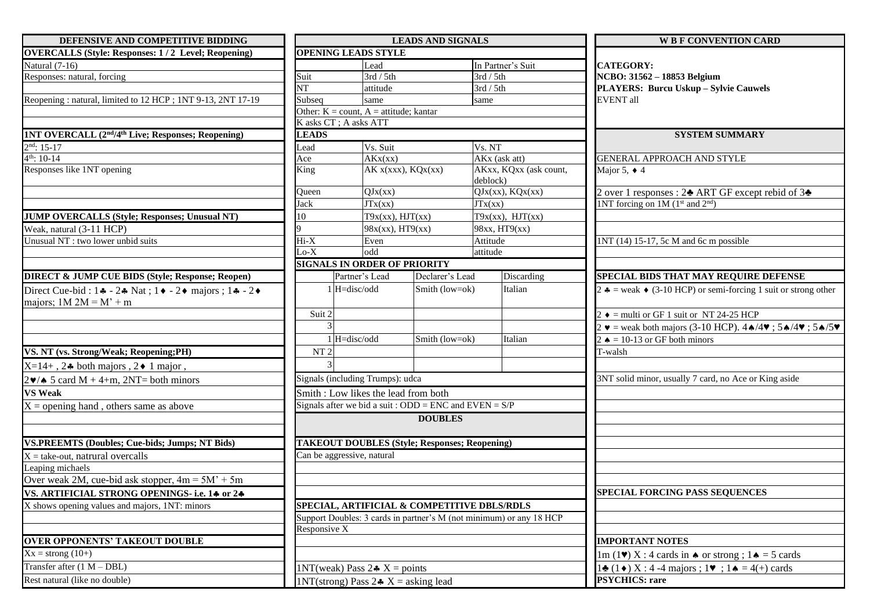| DEFENSIVE AND COMPETITIVE BIDDING                                                                              |                                                                     | <b>LEADS AND SIGNALS</b>                                 |                    |                                             | <b>W B F CONVENTION CARD</b>                                                                                                   |  |
|----------------------------------------------------------------------------------------------------------------|---------------------------------------------------------------------|----------------------------------------------------------|--------------------|---------------------------------------------|--------------------------------------------------------------------------------------------------------------------------------|--|
| <b>OVERCALLS (Style: Responses: 1/2 Level; Reopening)</b>                                                      |                                                                     | <b>OPENING LEADS STYLE</b>                               |                    |                                             |                                                                                                                                |  |
| Natural (7-16)                                                                                                 |                                                                     | Lead                                                     |                    | In Partner's Suit                           | <b>CATEGORY:</b>                                                                                                               |  |
| Responses: natural, forcing                                                                                    | Suit                                                                | 3rd / 5th                                                |                    | 3rd / 5th                                   | NCBO: 31562 - 18853 Belgium                                                                                                    |  |
|                                                                                                                | <b>NT</b>                                                           | attitude                                                 |                    | 3rd / 5th                                   | PLAYERS: Burcu Uskup - Sylvie Cauwels                                                                                          |  |
| Reopening: natural, limited to 12 HCP; 1NT 9-13, 2NT 17-19                                                     | Subseq                                                              | same                                                     |                    | same                                        | <b>EVENT</b> all                                                                                                               |  |
|                                                                                                                |                                                                     | Other: $K = count$ , $A =$ attitude; kantar              |                    |                                             |                                                                                                                                |  |
|                                                                                                                |                                                                     | K asks CT; A asks ATT                                    |                    |                                             |                                                                                                                                |  |
| 1NT OVERCALL (2 <sup>nd</sup> /4 <sup>th</sup> Live; Responses; Reopening)                                     | <b>LEADS</b>                                                        |                                                          |                    |                                             | <b>SYSTEM SUMMARY</b>                                                                                                          |  |
| $2nd: 15-17$                                                                                                   | Lead                                                                | Vs. Suit                                                 |                    | Vs. NT                                      |                                                                                                                                |  |
| $4^{th}$ : 10-14                                                                                               | Ace                                                                 | AKx(xx)                                                  |                    | AKx (ask att)                               | GENERAL APPROACH AND STYLE                                                                                                     |  |
| Responses like 1NT opening                                                                                     | King                                                                |                                                          | AK x(xxx), KQx(xx) | AKxx, KQxx (ask count,<br>deblock)          | Major 5, $\triangleleft$ 4                                                                                                     |  |
|                                                                                                                | Queen                                                               | QJx(xx)                                                  |                    | $QJx(xx)$ , $KQx(xx)$                       | 2 over 1 responses : 2→ ART GF except rebid of 3→                                                                              |  |
|                                                                                                                | Jack                                                                | JTx(xx)                                                  |                    | JTx(xx)                                     | 1NT forcing on 1M (1 <sup>st</sup> and 2 <sup>nd</sup> )                                                                       |  |
| JUMP OVERCALLS (Style; Responses; Unusual NT)                                                                  | 10                                                                  | $T9x(xx)$ , $HJT(xx)$                                    |                    | $T9x(xx)$ , $HJT(xx)$                       |                                                                                                                                |  |
| Weak, natural (3-11 HCP)                                                                                       |                                                                     | $98x(xx)$ , HT9(xx)                                      |                    | 98xx, HT9(xx)                               |                                                                                                                                |  |
| Unusual NT : two lower unbid suits                                                                             | $Hi-X$                                                              | Even                                                     |                    | Attitude                                    | 1NT (14) 15-17, 5c M and 6c m possible                                                                                         |  |
|                                                                                                                | $Lo-X$                                                              | odd                                                      |                    | attitude                                    |                                                                                                                                |  |
|                                                                                                                |                                                                     | <b>SIGNALS IN ORDER OF PRIORITY</b>                      |                    |                                             |                                                                                                                                |  |
| <b>DIRECT &amp; JUMP CUE BIDS (Style; Response; Reopen)</b>                                                    |                                                                     | Partner's Lead                                           | Declarer's Lead    | Discarding                                  | SPECIAL BIDS THAT MAY REQUIRE DEFENSE                                                                                          |  |
| Direct Cue-bid: $1 - 2 + \text{Nat}$ ; $1 - 2 + \text{major}$ ; $1 - 2 + \text{N}$<br>majors; $1M 2M = M' + m$ |                                                                     | 1 H=disc/odd                                             | Smith (low=ok)     | Italian                                     | 2 $\triangle$ = weak $\triangle$ (3-10 HCP) or semi-forcing 1 suit or strong other                                             |  |
|                                                                                                                | Suit 2                                                              |                                                          |                    |                                             | $2 \rightarrow$ = multi or GF 1 suit or NT 24-25 HCP                                                                           |  |
|                                                                                                                |                                                                     |                                                          |                    |                                             | $2 \text{ v}$ = weak both majors (3-10 HCP). $4 \text{ A}/4 \text{ V}$ ; $5 \text{ A}/4 \text{ V}$ ; $5 \text{ A}/5 \text{ V}$ |  |
|                                                                                                                |                                                                     | 1 H=disc/odd                                             | Smith (low=ok)     | Italian                                     | 2 $\triangle$ = 10-13 or GF both minors                                                                                        |  |
| VS. NT (vs. Strong/Weak; Reopening;PH)                                                                         | NT <sub>2</sub>                                                     |                                                          |                    |                                             | T-walsh                                                                                                                        |  |
|                                                                                                                |                                                                     |                                                          |                    |                                             |                                                                                                                                |  |
| $X=14+$ , 24 both majors, 2 $\bullet$ 1 major,                                                                 |                                                                     |                                                          |                    |                                             |                                                                                                                                |  |
| $2\blacktriangleright\!\!\blacktriangleleft$ 5 card M + 4+m, 2NT= both minors                                  |                                                                     | Signals (including Trumps): udca                         |                    |                                             | 3NT solid minor, usually 7 card, no Ace or King aside                                                                          |  |
| <b>VS Weak</b>                                                                                                 |                                                                     | Smith: Low likes the lead from both                      |                    |                                             |                                                                                                                                |  |
| $X =$ opening hand, others same as above                                                                       |                                                                     | Signals after we bid a suit : ODD = ENC and EVEN = $S/P$ |                    |                                             |                                                                                                                                |  |
|                                                                                                                |                                                                     |                                                          | <b>DOUBLES</b>     |                                             |                                                                                                                                |  |
| <b>VS.PREEMTS (Doubles; Cue-bids; Jumps; NT Bids)</b>                                                          |                                                                     | <b>TAKEOUT DOUBLES (Style; Responses; Reopening)</b>     |                    |                                             |                                                                                                                                |  |
| $X =$ take-out, natrural overcalls                                                                             |                                                                     | Can be aggressive, natural                               |                    |                                             |                                                                                                                                |  |
| Leaping michaels                                                                                               |                                                                     |                                                          |                    |                                             |                                                                                                                                |  |
| Over weak 2M, cue-bid ask stopper, $4m = 5M' + 5m$                                                             |                                                                     |                                                          |                    |                                             |                                                                                                                                |  |
| VS. ARTIFICIAL STRONG OPENINGS- i.e. 14 or 24                                                                  |                                                                     |                                                          |                    |                                             | <b>SPECIAL FORCING PASS SEQUENCES</b>                                                                                          |  |
| X shows opening values and majors, 1NT: minors                                                                 |                                                                     |                                                          |                    | SPECIAL, ARTIFICIAL & COMPETITIVE DBLS/RDLS |                                                                                                                                |  |
|                                                                                                                | Support Doubles: 3 cards in partner's M (not minimum) or any 18 HCP |                                                          |                    |                                             |                                                                                                                                |  |
|                                                                                                                | Responsive X                                                        |                                                          |                    |                                             |                                                                                                                                |  |
| <b>OVER OPPONENTS' TAKEOUT DOUBLE</b>                                                                          |                                                                     |                                                          |                    |                                             | <b>IMPORTANT NOTES</b>                                                                                                         |  |
| $Xx =$ strong (10+)                                                                                            |                                                                     |                                                          |                    |                                             | $1m(1\blacktriangleright) X : 4$ cards in $\blacklozenge$ or strong ; $1\blacklozenge = 5$ cards                               |  |
| Transfer after $(1 M - DBL)$                                                                                   |                                                                     | 1NT(weak) Pass $2 \cdot X =$ points                      |                    |                                             | $1\clubsuit$ (1 $\bullet$ ) X : 4 -4 majors ; 1 $\triangledown$ ; 1 $\spadesuit$ = 4(+) cards                                  |  |
| Rest natural (like no double)                                                                                  |                                                                     | 1NT(strong) Pass $2 \cdot X =$ asking lead               |                    |                                             | <b>PSYCHICS: rare</b>                                                                                                          |  |